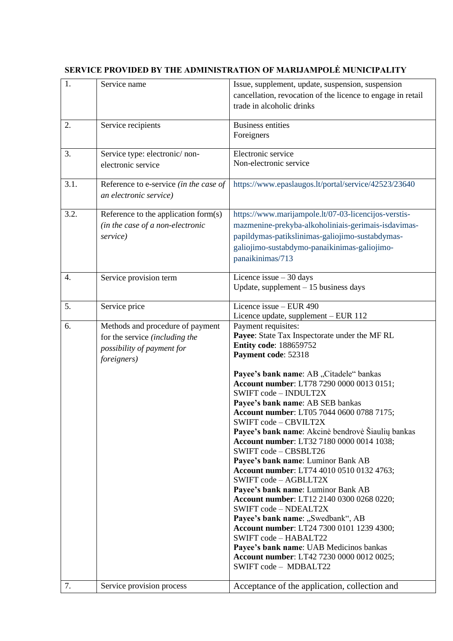| 1.   | Service name                            | Issue, supplement, update, suspension, suspension                         |
|------|-----------------------------------------|---------------------------------------------------------------------------|
|      |                                         | cancellation, revocation of the licence to engage in retail               |
|      |                                         | trade in alcoholic drinks                                                 |
|      |                                         |                                                                           |
| 2.   | Service recipients                      | <b>Business entities</b>                                                  |
|      |                                         | Foreigners                                                                |
|      |                                         |                                                                           |
| 3.   | Service type: electronic/non-           | Electronic service<br>Non-electronic service                              |
|      | electronic service                      |                                                                           |
| 3.1. | Reference to e-service (in the case of  | https://www.epaslaugos.lt/portal/service/42523/23640                      |
|      | an electronic service)                  |                                                                           |
|      |                                         |                                                                           |
| 3.2. | Reference to the application form $(s)$ | https://www.marijampole.lt/07-03-licencijos-verstis-                      |
|      | (in the case of a non-electronic        | mazmenine-prekyba-alkoholiniais-gerimais-isdavimas-                       |
|      | service)                                | papildymas-patikslinimas-galiojimo-sustabdymas-                           |
|      |                                         | galiojimo-sustabdymo-panaikinimas-galiojimo-                              |
|      |                                         | panaikinimas/713                                                          |
|      |                                         |                                                                           |
| 4.   | Service provision term                  | Licence issue $-30$ days                                                  |
|      |                                         | Update, supplement $-15$ business days                                    |
| 5.   | Service price                           | Licence issue - EUR 490                                                   |
|      |                                         | Licence update, supplement - EUR 112                                      |
| 6.   | Methods and procedure of payment        | Payment requisites:                                                       |
|      | for the service (including the          | Payee: State Tax Inspectorate under the MF RL                             |
|      | possibility of payment for              | <b>Entity code: 188659752</b>                                             |
|      | foreigners)                             | Payment code: 52318                                                       |
|      |                                         | Payee's bank name: AB "Citadele" bankas                                   |
|      |                                         | Account number: LT78 7290 0000 0013 0151;                                 |
|      |                                         | SWIFT code - INDULT2X                                                     |
|      |                                         | Payee's bank name: AB SEB bankas                                          |
|      |                                         | Account number: LT05 7044 0600 0788 7175;                                 |
|      |                                         | SWIFT code - CBVILT2X                                                     |
|      |                                         | Payee's bank name: Akcinė bendrovė Šiaulių bankas                         |
|      |                                         | Account number: LT32 7180 0000 0014 1038;                                 |
|      |                                         | SWIFT code - CBSBLT26                                                     |
|      |                                         | Payee's bank name: Luminor Bank AB                                        |
|      |                                         | <b>Account number: LT74 4010 0510 0132 4763;</b><br>SWIFT code - AGBLLT2X |
|      |                                         | Payee's bank name: Luminor Bank AB                                        |
|      |                                         | Account number: LT12 2140 0300 0268 0220;                                 |
|      |                                         | SWIFT code - NDEALT2X                                                     |
|      |                                         | Payee's bank name: "Swedbank", AB                                         |
|      |                                         | Account number: LT24 7300 0101 1239 4300;                                 |
|      |                                         | SWIFT code - HABALT22                                                     |
|      |                                         | Payee's bank name: UAB Medicinos bankas                                   |
|      |                                         | Account number: LT42 7230 0000 0012 0025;                                 |
|      |                                         | SWIFT code - MDBALT22                                                     |
| 7.   | Service provision process               | Acceptance of the application, collection and                             |
|      |                                         |                                                                           |

## **SERVICE PROVIDED BY THE ADMINISTRATION OF MARIJAMPOLĖ MUNICIPALITY**